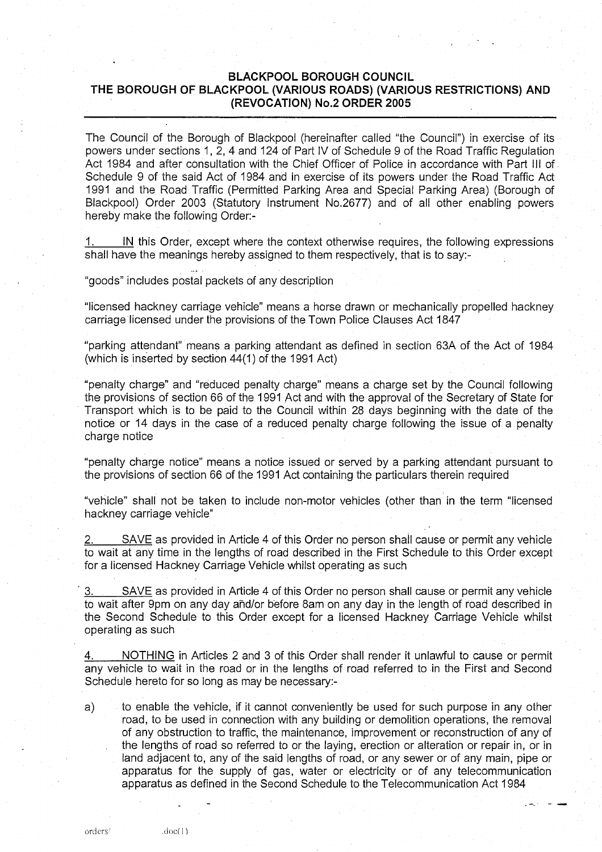# **BLACKPOOL BOROUGH COUNCIL THE BOROUGH** OF BLACKPOOL **(VARIOUS ROADS**) (VARIOUS RESTRICTIONS) AND (REVOCATION) **No.2 ORDER 200 5**

The Council of the Borough of Blackpool (hereinafter called "the Council") in exercise of its powers under sections 1, 2, 4 and 124 of Part IV of Schedule 9 of the Road Traffic Regulation Act 1984 and after consultation with the Chief Officer of Police in accordance with Part III of Schedule 9 of the said Act of 1984 and in exercise of its powers under the Road Traffic Act 1991 and the Road Traffic (Permitted Parking Area and Special Parking Area) (Borough of Blackpool) Order 2003 (Statutory Instrument No .2677) and of all other enabling powers hereby make the following Order:-

IN this Order, except where the context otherwise requires, the following expressions shall have the meanings hereby assigned to them respectively, that is to say:-

"goods" includes postal packets of any description

"licensed hackney carriage vehicle" means a horse drawn or mechanically propelled hackney carriage licensed under the provisions of the Town Police Clauses Act 1847

"parking attendant" means a parking **attendant as** defined in section 63A of the Act of 1984 (which is inserted by section 44(1) of the 1991 Act )

"penalty charge" and "reduced penalty charge" means a charge set by the Council following the provisions of section 66 of the 1991 Act and with the approval of the Secretary of State for Transport which is to be paid to the Council within 28 days beginning with the date of the notice or 14 days in the case of a reduced penalty charge following the issue of a penalty charge notice

"penalty charge notice" means a notice issued or served by a parking attendant pursuant to the provisions of section 66 of the 1991 Act containing the particulars therein required

"vehicle" shall not be taken to include non-motor vehicles (other than in the term "licensed hackney carriage vehicle"

2. SAVE as provided in Article 4 of this Order no person shall cause or permit any vehicle to wait at any time in the lengths of road described in the First Schedule to this Order except for a licensed Hackney Carriage Vehicle whilst operating as such

3. SAVE as provided in Article 4 of this Order no person shall cause or permit any vehicle to wait after 9pm on any day and/or before 8am on any day in the length of road described in the Second Schedule to this Order except for a licensed Hackney Carriage Vehicle whilst operating as such

NOTHING in Articles 2 and 3 of this Order shall render it unlawful to cause or permit any vehicle to wait in the road or in the lengths of road referred to in the First and Second Schedule hereto for so long as may be necessary:-

a) to enable the vehicle, if it cannot conveniently be used for such purpose in any other road, to be used in connection with any building or demolition operations, the removal of any obstruction to traffic, the maintenance, improvement or reconstruction of any of the lengths of road so referred to or the laying, erection or alteration or repair in, or in land adjacent to, any of the said lengths of road, or any sewer or of any main, pipe or apparatus for the supply of gas, water or electricity or of any telecommunication apparatus as defined in the Second Schedule to the Telecommunication Act 1984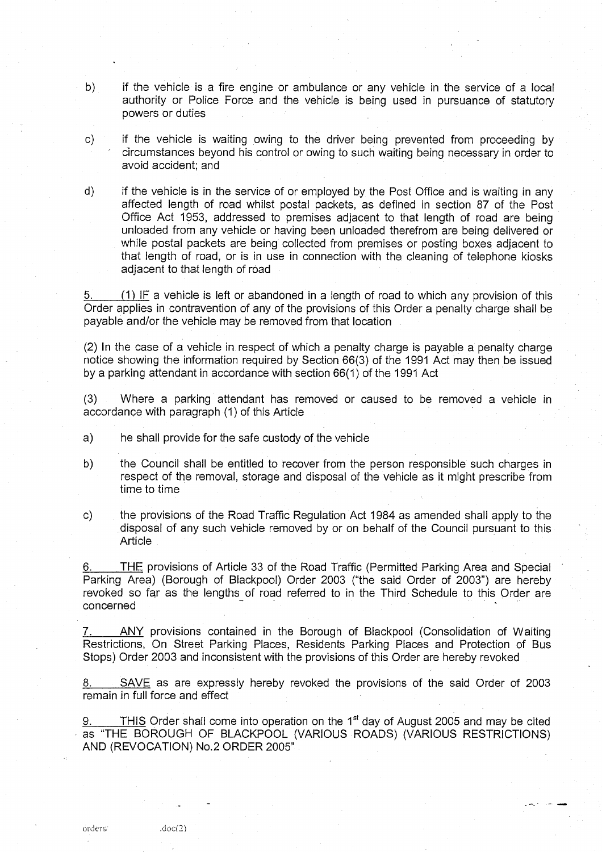- **b) if the vehicle is a fire engine or ambulance or any vehicle in the service of a local** authority or Police Force and the vehicle is being used in pursuance of statutory **powers or dutie s**
- **c) if the vehicle is waiting owing to the driver being prevented from proceeding by** circumstances beyond his control or owing to such waiting being necessary in order to avoid accident; and
- **d) if the vehicle is in the service of or employed by the Post Office and is waiting in any affected length of road whilst postal packets** , **as defined in section 87 of the Post Office Act 1953** , **addressed to premises adjacent to that length of road are being unloaded from any vehicle or having been unloaded therefrom are being delivered or while postal packets are being collected from premises or posting boxes adjacent to that length of road**, **or is in use in connection with the cleaning of telephone kiosks adjacent to that length of road**

**<sup>5</sup> . (1) IF a vehicle is left or abandoned in a length of road to which any provision of this Order applies in contravention of any of the provisions of this Order a penalty charge shall be payable and**/**or the vehicle may be removed from that locatio <sup>n</sup>**

**(2) In the case of a vehicle in. respect of which a penalty charge is payable a penalty charge notice showing the information required by Section 66**(**3) of the 1991 Act may then be issued by a parking attendant in accordance with section 66** ( **1) of the 1991 Act**

**(3) Where a parking a**tt**endant has removed or caused to be removed a vehicle in accordance with paragraph** ( **1) of this Articl e**

- a) he shall provide for the safe custody of the vehicle
- **b) the Council shall be entitled to recover from the person responsible such charges in respect of the removal**, **storage and disposal of the vehicle as it might prescribe from time to time**
- **c) the provisions of the Road Traffic Regulation Act 1984 as amended shall apply to the disposal of any such vehicle removed by or on behalf of the Council pursuant to this A**rt**icle**

**FHE** provisions of Article 33 of the Road Traffic (Permitted Parking Area and Special **Parking Area**) (**Borough of Blackpool** ) **Order 2003 ("the said Order of 2003") are hereby revoked so far as the lengths of road referred to in the Third Schedule to this Order are concerned**

**<sup>7</sup> . ANY provisions contained in the Borough of Blackpool** (**Consolidation of Waiting Restrictions**, **On Street Parking Places** , **Residents Parking Places and Protection of Bus Stops**) Order 2003 and inconsistent with the provisions of this Order are hereby revoked

**<sup>8</sup> . SAVE as are expressly hereby revoked the provisions of the said Order of 2003 remain in full force and effect**

**PHIS** Order shall come into operation on the 1<sup>st</sup> day of August 2005 and may be cited **as "THE BOROUGH** OF BLACKPOOL (VARIOUS ROADS) ( **VARIOUS RESTRICTIONS)** AND (REVOCATION) **No.2 ORDER 2005"**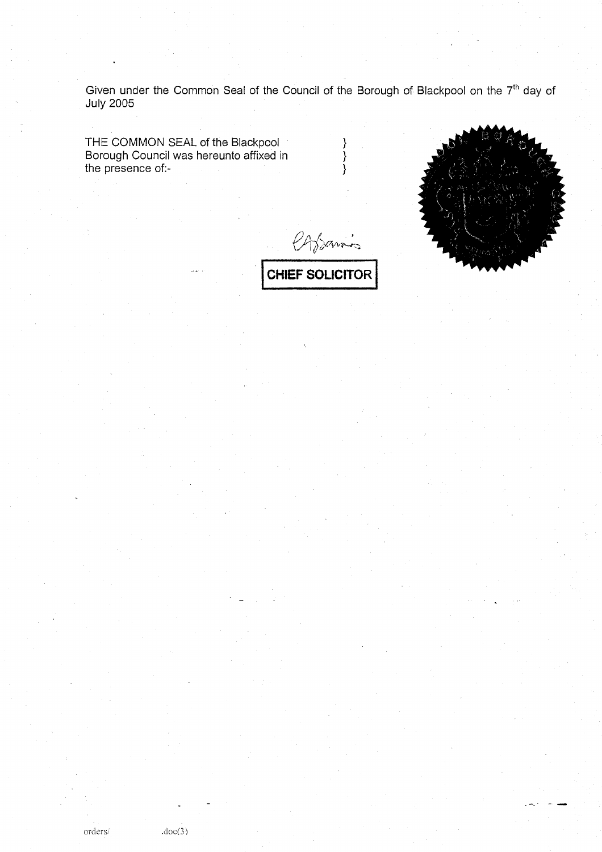Given under the Common Seal of the Council of the Borough of Blackpool on the 7<sup>th</sup> day of **July 2005** 

 $\begin{array}{c} \n} \n} \n \n \downarrow \n \end{array}$ 

THE COMMON SEAL of the Blackpool<br>Borough Council was hereunto affixed in<br>the presence of:-

annis CHIEF SOLICITOR



orders/